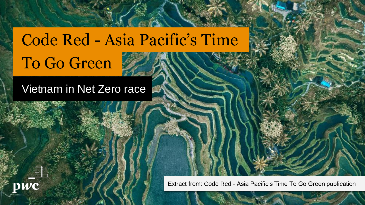# Code Red - Asia Pacific's Time To Go Green

### Vietnam in Net Zero race



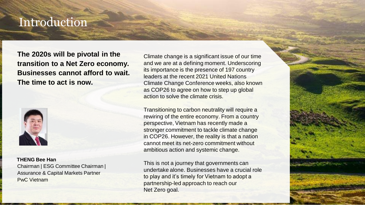### Introduction

**The 2020s will be pivotal in the transition to a Net Zero economy. Businesses cannot afford to wait. The time to act is now.**



**THENG Bee Han**  Chairman | ESG Committee Chairman | Assurance & Capital Markets Partner PwC Vietnam

Climate change is a significant issue of our time and we are at a defining moment. Underscoring its importance is the presence of 197 country leaders at the recent 2021 United Nations Climate Change Conference weeks, also known as COP26 to agree on how to step up global action to solve the climate crisis.

Transitioning to carbon neutrality will require a rewiring of the entire economy. From a country perspective, Vietnam has recently made a stronger commitment to tackle climate change in COP26. However, the reality is that a nation cannot meet its net-zero commitment without ambitious action and systemic change.

This is not a journey that governments can undertake alone. Businesses have a crucial role to play and it's timely for Vietnam to adopt a partnership-led approach to reach our Net Zero goal.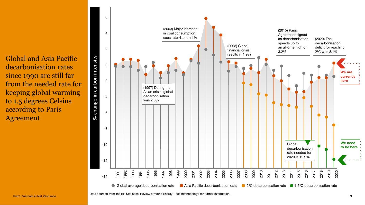Global and Asia Pacific decarbonisation rates since 1990 are still far from the needed rate for keeping global warming to 1.5 degrees Celsius according to Paris Agreement

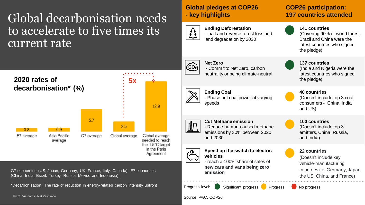### Global decarbonisation needs to accelerate to five times its current rate

**2020 rates of 5x decarbonisation\* (%)**  $12.9$ 5.7 2.5  $08$ n a E7 average Asia Pacific G7 average Global average Global average average needed to reach the 1.5°C target in the Paris

G7 economies (US, Japan, Germany, UK, France, Italy, Canada), E7 economies (China, India, Brazil, Turkey, Russia, Mexico and Indonesia).

\*Decarbonisation: The rate of reduction in energy-related carbon intensity upfront

PwC | Vietnam in Net Zero race 4 American contract the contract of the contract of the contract of the contract of the contract of the contract of the contract of the contract of the contract of the contract of the contrac

### **Global pledges at COP26 - key highlights**



**Ending Deforestation** - halt and reverse forest loss and land degradation by 2030



**Net Zero -** Commit to Net Zero, carbon neutrality or being climate-neutral

### **Ending Coal**

**-** Phase out coal power at varying speeds



Agreement

#### **Cut Methane emission**

**-** Reduce human-caused methane emissions by 30% between 2020 and 2030

#### **Speed up the switch to electric vehicles**

**-** reach a 100% share of sales of **new cars and vans being zero emission**

Progress level: Significant progress Progress No progress

#### Source [PwC](https://www.pwc.com/gx/en/services/sustainability/climate.html), [COP26](https://ukcop26.org/the-conference/cop26-outcomes/)

### **COP26 participation: 197 countries attended**

**141 countries**  (Covering 90% of world forest. Brazil and China were the latest countries who signed

the pledge)

#### **137 countries** (India and Nigeria were the latest countries who signed the pledge)

#### **40 countries**

(Doesn't include top 3 coal consumers - China, India and US)

#### **100 countries**  (Doesn't include top 3 emitters, China, Russia, and India)

#### **22 countries**

(Doesn't include key vehicle-manufacturing countries i.e. Germany, Japan, the US, China, and France)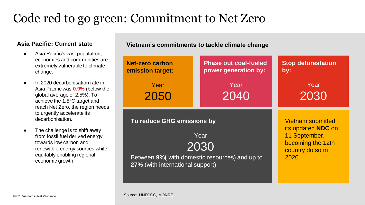## Code red to go green: Commitment to Net Zero

#### **Asia Pacific: Current state**

- Asia Pacific's vast population, economies and communities are extremely vulnerable to climate change.
- In 2020 decarbonisation rate in Asia Pacific was **0.9%** (below the global average of 2.5%). To achieve the 1.5°C target and reach Net Zero, the region needs to urgently accelerate its decarbonisation.
- The challenge is to shift away from fossil fuel derived energy towards low carbon and renewable energy sources while equitably enabling regional

#### **Vietnam's commitments to tackle climate change**

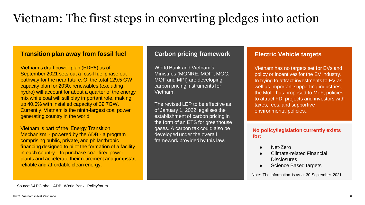## Vietnam: The first steps in converting pledges into action

#### **Transition plan away from fossil fuel**

Vietnam's draft power plan (PDP8) as of September 2021 sets out a fossil fuel phase out pathway for the near future. Of the total 129.5 GW capacity plan for 2030, renewables (excluding hydro) will account for about a quarter of the energy mix while coal will still play important role, making up 40.6% with installed capacity of 39.7GW. Currently, Vietnam is the ninth-largest coal power generating country in the world.

Vietnam is part of the 'Energy Transition Mechanism' - powered by the ADB - a program comprising public, private, and philanthropic financing designed to pilot the formation of a facility in each country—to purchase coal-fired power plants and accelerate their retirement and jumpstart reliable and affordable clean energy.

#### **Carbon pricing framework**

World Bank and Vietnam's Ministries (MONRE, MOIT, MOC, MOF and MPI) are developing carbon pricing instruments for Vietnam.

The revised LEP to be effective as of January 1, 2022 legalises the establishment of carbon pricing in the form of an ETS for greenhouse gases. A carbon tax could also be developed under the overall framework provided by this law.

#### **Electric Vehicle targets**

Vietnam has no targets set for EVs and policy or incentives for the EV industry. In trying to attract investments to EV as well as important supporting industries. the MoIT has proposed to MoF, policies to attract FDI projects and investors with taxes, fees, and supportive environmental policies..

#### **No policy/legislation currently exists for:**

- Net-Zero
- Climate-related Financial **Disclosures**
- Science Based targets

Note: The information is as at 30 September 2021

Source[:S&PGlobal](https://www.spglobal.com/platts/en/market-insights/latest-news/energy-transition/112421-vietnam-cuts-back-on-lng-coal-fired-power-projects-after-net-zero-pledge), [ADB](https://www.adb.org/news/features/energy-transition-mechanism-explainer-support-climate-action-southeast-asia), [World Bank,](https://www.worldbank.org/en/news/feature/2021/11/11/carbon-pricing-aids-vietnam-s-efforts-towards-decarbonization) [Policyforum](https://www.policyforum.net/carbon-pricing-insights-from-vietnam/)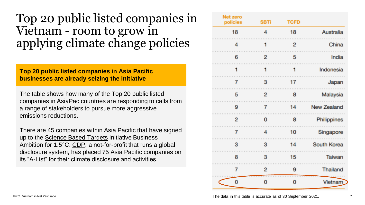### Top 20 public listed companies in Vietnam - room to grow in applying climate change policies

#### **Top 20 public listed companies in Asia Pacific businesses are already seizing the initiative**

The table shows how many of the Top 20 public listed companies in AsiaPac countries are responding to calls from a range of stakeholders to pursue more aggressive emissions reductions.

There are 45 companies within Asia Pacific that have signed up to the [Science Based Targets](https://sciencebasedtargets.org/companies-taking-action?target=2%C2%B0C®ion=Asia#table) initiative Business Ambition for 1.5°C. [CDP,](https://www.cdp.net/en/companies/companies-scores) a not-for-profit that runs a global disclosure system, has placed 75 Asia Pacific companies on its "A-List" for their climate disclosure and activities.

| <b>Net zero</b><br>policies | <b>SBTi</b>    | <b>TCFD</b>    |                    |
|-----------------------------|----------------|----------------|--------------------|
| 18                          | 4              | 18             | Australia          |
| 4                           | 1              | $\overline{2}$ | China              |
| 6                           | $\overline{2}$ | 5              | India              |
|                             | 1              | 1              | Indonesia          |
| 7                           | 3              | 17             | Japan              |
| 5                           | $\overline{2}$ | 8              | Malaysia           |
| 9                           | 7              | 14             | <b>New Zealand</b> |
| 2                           | 0              | 8              | Philippines        |
| 7                           | 4              | 10             | Singapore          |
| 3                           | 3              | 14             | South Korea        |
| 8                           | 3              | 15             | Taiwan             |
| 7                           | $\overline{2}$ | 9              | <b>Thailand</b>    |
| 0                           | 0              | 0              | Vietnam            |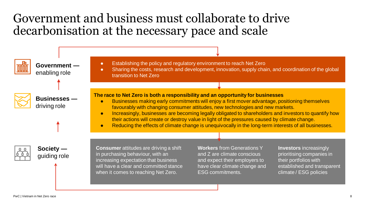### Government and business must collaborate to drive decarbonisation at the necessary pace and scale



**Government**  enabling role



**Businesses**  driving role

● Establishing the policy and regulatory environment to reach Net Zero

• Sharing the costs, research and development, innovation, supply chain, and coordination of the global transition to Net Zero

#### **The race to Net Zero is both a responsibility and an opportunity for businesses**

- Businesses making early commitments will enjoy a first mover advantage, positioning themselves favourably with changing consumer attitudes, new technologies and new markets.
- Increasingly, businesses are becoming legally obligated to shareholders and investors to quantify how their actions will create or destroy value in light of the pressures caused by climate change.
- Reducing the effects of climate change is unequivocally in the long-term interests of all businesses.





**Consumer** attitudes are driving a shift in purchasing behaviour, with an increasing expectation that business will have a clear and committed stance when it comes to reaching Net Zero.

**Workers** from Generations Y and Z are climate conscious and expect their employers to have clear climate change and ESG commitments.

**Investors** increasingly prioritising companies in their portfolios with established and transparent climate / ESG policies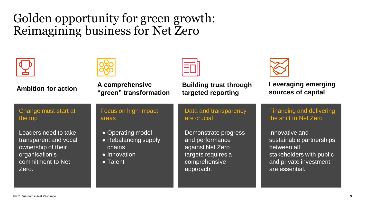### Golden opportunity for green growth: Reimagining business for Net Zero

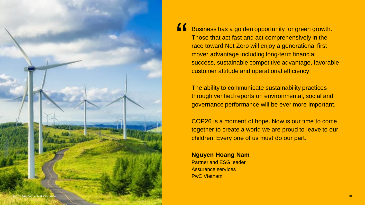

Business has a golden opportunity for green growth. Those that act fast and act comprehensively in the race toward Net Zero will enjoy a generational first mover advantage including long-term financial success, sustainable competitive advantage, favorable customer attitude and operational efficiency. "<br>"

The ability to communicate sustainability practices through verified reports on environmental, social and governance performance will be ever more important.

COP26 is a moment of hope. Now is our time to come together to create a world we are proud to leave to our children. Every one of us must do our part."

**Nguyen Hoang Nam** Partner and ESG leader Assurance services PwC Vietnam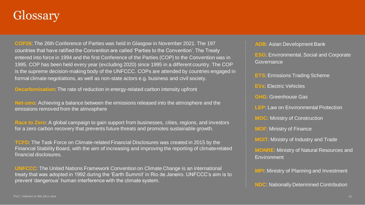## **Glossary**

**COP26**: The 26th Conference of Parties was held in Glasgow in November 2021. The 197 countries that have ratified the Convention are called 'Parties to the Convention'. The Treaty entered into force in 1994 and the first Conference of the Parties (COP) to the Convention was in 1995. COP has been held every year (excluding 2020) since 1995 in a different country. The COP is the supreme decision-making body of the UNFCCC. COPs are attended by countries engaged in formal climate negotiations, as well as non-state actors e.g. business and civil society.

**Decarbonisation**: The rate of reduction in energy-related carbon intensity upfront

**Net-zero**: Achieving a balance between the emissions released into the atmosphere and the emissions removed from the atmosphere

**Race to Zero**: A global campaign to gain support from businesses, cities, regions, and investors for a zero carbon recovery that prevents future threats and promotes sustainable growth.

**TCFD**: The Task Force on Climate-related Financial Disclosures was created in 2015 by the Financial Stability Board, with the aim of increasing and improving the reporting of climate-related financial disclosures.

**UNFCCC**: The United Nations Framework Convention on Climate Change is an international treaty that was adopted in 1992 during the 'Earth Summit' in Rio de Janeiro. UNFCCC's aim is to prevent 'dangerous' human interference with the climate system.

#### **ADB**: Asian Development Bank

**ESG**: Environmental, Social and Corporate Governance

**ETS**: Emissions Trading Scheme

**EVs**: Electric Vehicles

**GHG**: Greenhouse Gas

**LEP:** Law on Environmental Protection

**MOC:** Ministry of Construction

**MOF**: Ministry of Finance

**MOIT**: Ministry of Industry and Trade

**MONRE**: Ministry of Natural Resources and Environment

**MPI**: Ministry of Planning and Investment

**NDC:** Nationally Determined Contribution